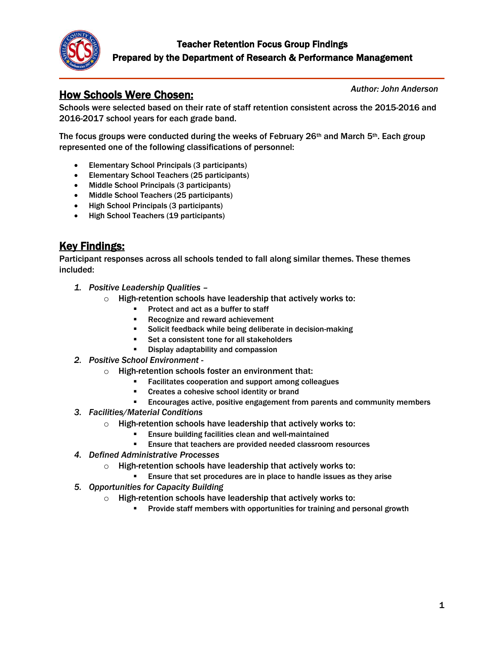

# How Schools Were Chosen:

*Author: John Anderson*

Schools were selected based on their rate of staff retention consistent across the 2015-2016 and 2016-2017 school years for each grade band.

The focus groups were conducted during the weeks of February  $26<sup>th</sup>$  and March 5<sup>th</sup>. Each group represented one of the following classifications of personnel:

- Elementary School Principals (3 participants)
- Elementary School Teachers (25 participants)
- Middle School Principals (3 participants)
- Middle School Teachers (25 participants)
- High School Principals (3 participants)
- High School Teachers (19 participants)

# Key Findings:

Participant responses across all schools tended to fall along similar themes. These themes included:

- *1. Positive Leadership Qualities –*
	- o High-retention schools have leadership that actively works to:
		- Protect and act as a buffer to staff
		- Recognize and reward achievement
		- Solicit feedback while being deliberate in decision-making
		- Set a consistent tone for all stakeholders
		- Display adaptability and compassion
- *2. Positive School Environment -*
	- $\circ$  High-retention schools foster an environment that:
		- Facilitates cooperation and support among colleagues
		- Creates a cohesive school identity or brand
		- **Encourages active, positive engagement from parents and community members**
- *3. Facilities/Material Conditions*
	- $\circ$  High-retention schools have leadership that actively works to:
		- Ensure building facilities clean and well-maintained
		- Ensure that teachers are provided needed classroom resources
- *4. Defined Administrative Processes*
	- o High-retention schools have leadership that actively works to:
		- Ensure that set procedures are in place to handle issues as they arise
- *5. Opportunities for Capacity Building*
	- $\circ$  High-retention schools have leadership that actively works to:
		- **Provide staff members with opportunities for training and personal growth**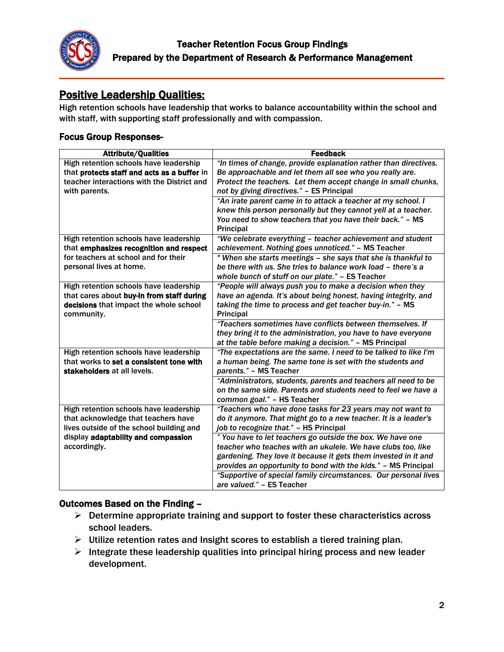

# Positive Leadership Qualities:

High retention schools have leadership that works to balance accountability within the school and with staff, with supporting staff professionally and with compassion.

### Focus Group Responses-

| <b>Attribute/Qualities</b>                  | <b>Feedback</b>                                                  |
|---------------------------------------------|------------------------------------------------------------------|
| High retention schools have leadership      | "In times of change, provide explanation rather than directives. |
| that protects staff and acts as a buffer in | Be approachable and let them all see who you really are.         |
| teacher interactions with the District and  | Protect the teachers. Let them accept change in small chunks,    |
| with parents.                               | not by giving directives." - ES Principal                        |
|                                             | "An irate parent came in to attack a teacher at my school. I     |
|                                             | knew this person personally but they cannot yell at a teacher.   |
|                                             | You need to show teachers that you have their back." - MS        |
|                                             | <b>Principal</b>                                                 |
| High retention schools have leadership      | "We celebrate everything - teacher achievement and student       |
| that emphasizes recognition and respect     | achievement. Nothing goes unnoticed." - MS Teacher               |
| for teachers at school and for their        | " When she starts meetings - she says that she is thankful to    |
| personal lives at home.                     | be there with us. She tries to balance work load - there's a     |
|                                             | whole bunch of stuff on our plate." - ES Teacher                 |
| High retention schools have leadership      | "People will always push you to make a decision when they        |
| that cares about buy-in from staff during   | have an agenda. It's about being honest, having integrity, and   |
| decisions that impact the whole school      | taking the time to process and get teacher buy-in." - MS         |
| community.                                  | <b>Principal</b>                                                 |
|                                             | "Teachers sometimes have conflicts between themselves. If        |
|                                             | they bring it to the administration, you have to have everyone   |
|                                             | at the table before making a decision." - MS Principal           |
| High retention schools have leadership      | "The expectations are the same. I need to be talked to like I'm  |
| that works to set a consistent tone with    | a human being. The same tone is set with the students and        |
| stakeholders at all levels.                 | parents." - MS Teacher                                           |
|                                             | "Administrators, students, parents and teachers all need to be   |
|                                             | on the same side. Parents and students need to feel we have a    |
|                                             | common goal." - HS Teacher                                       |
| High retention schools have leadership      | "Teachers who have done tasks for 23 years may not want to       |
| that acknowledge that teachers have         | do it anymore. That might go to a new teacher. It is a leader's  |
| lives outside of the school building and    | job to recognize that." - HS Principal                           |
| display adaptability and compassion         | "You have to let teachers go outside the box. We have one        |
| accordingly.                                | teacher who teaches with an ukulele. We have clubs too, like     |
|                                             | gardening. They love it because it gets them invested in it and  |
|                                             | provides an opportunity to bond with the kids." - MS Principal   |
|                                             | "Supportive of special family circumstances. Our personal lives  |
|                                             | are valued." - ES Teacher                                        |

- $\triangleright$  Determine appropriate training and support to foster these characteristics across school leaders.
- $\triangleright$  Utilize retention rates and Insight scores to establish a tiered training plan.
- $\triangleright$  Integrate these leadership qualities into principal hiring process and new leader development.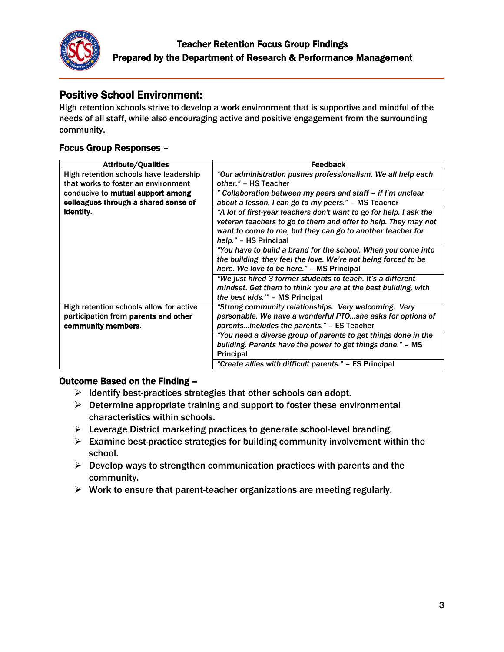

# Positive School Environment:

High retention schools strive to develop a work environment that is supportive and mindful of the needs of all staff, while also encouraging active and positive engagement from the surrounding community.

## Focus Group Responses –

| <b>Attribute/Qualities</b>              | <b>Feedback</b>                                                    |
|-----------------------------------------|--------------------------------------------------------------------|
| High retention schools have leadership  | "Our administration pushes professionalism. We all help each       |
| that works to foster an environment     | other." - HS Teacher                                               |
| conducive to mutual support among       | " Collaboration between my peers and staff - if I'm unclear        |
| colleagues through a shared sense of    | about a lesson, I can go to my peers." – MS Teacher                |
| identity.                               | "A lot of first-year teachers don't want to go for help. I ask the |
|                                         | veteran teachers to go to them and offer to help. They may not     |
|                                         | want to come to me, but they can go to another teacher for         |
|                                         | help." – HS Principal                                              |
|                                         | "You have to build a brand for the school. When you come into      |
|                                         | the building, they feel the love. We're not being forced to be     |
|                                         | here. We love to be here." – MS Principal                          |
|                                         | "We just hired 3 former students to teach. It's a different        |
|                                         | mindset. Get them to think 'you are at the best building, with     |
|                                         | the best kids."" - MS Principal                                    |
| High retention schools allow for active | "Strong community relationships. Very welcoming. Very              |
| participation from parents and other    | personable. We have a wonderful PTOshe asks for options of         |
| community members.                      | parentsincludes the parents." – ES Teacher                         |
|                                         | "You need a diverse group of parents to get things done in the     |
|                                         | building. Parents have the power to get things done." - MS         |
|                                         | <b>Principal</b>                                                   |
|                                         | "Create allies with difficult parents." - ES Principal             |

- $\triangleright$  Identify best-practices strategies that other schools can adopt.
- $\triangleright$  Determine appropriate training and support to foster these environmental characteristics within schools.
- $\triangleright$  Leverage District marketing practices to generate school-level branding.
- $\triangleright$  Examine best-practice strategies for building community involvement within the school.
- $\triangleright$  Develop ways to strengthen communication practices with parents and the community.
- $\triangleright$  Work to ensure that parent-teacher organizations are meeting regularly.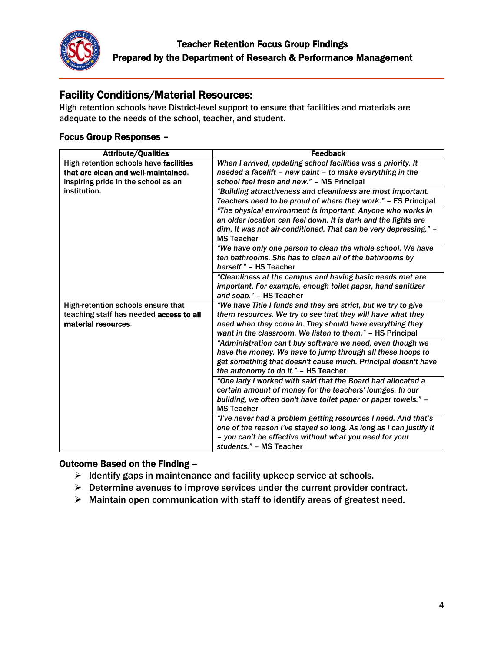

# Facility Conditions/Material Resources:

High retention schools have District-level support to ensure that facilities and materials are adequate to the needs of the school, teacher, and student.

### Focus Group Responses –

| <b>Attribute/Qualities</b>              | <b>Feedback</b>                                                    |
|-----------------------------------------|--------------------------------------------------------------------|
| High retention schools have facilities  | When I arrived, updating school facilities was a priority. It      |
| that are clean and well-maintained,     | needed a facelift - new paint - to make everything in the          |
| inspiring pride in the school as an     | school feel fresh and new." - MS Principal                         |
| institution.                            | "Building attractiveness and cleanliness are most important.       |
|                                         | Teachers need to be proud of where they work." - ES Principal      |
|                                         | "The physical environment is important. Anyone who works in        |
|                                         | an older location can feel down. It is dark and the lights are     |
|                                         | dim. It was not air-conditioned. That can be very depressing." -   |
|                                         | <b>MS Teacher</b>                                                  |
|                                         | "We have only one person to clean the whole school. We have        |
|                                         | ten bathrooms. She has to clean all of the bathrooms by            |
|                                         | herself." - HS Teacher                                             |
|                                         | "Cleanliness at the campus and having basic needs met are          |
|                                         | important. For example, enough toilet paper, hand sanitizer        |
|                                         | and soap." - HS Teacher                                            |
| High-retention schools ensure that      | "We have Title I funds and they are strict, but we try to give     |
| teaching staff has needed access to all | them resources. We try to see that they will have what they        |
| material resources.                     | need when they come in. They should have everything they           |
|                                         | want in the classroom. We listen to them." - HS Principal          |
|                                         | "Administration can't buy software we need, even though we         |
|                                         | have the money. We have to jump through all these hoops to         |
|                                         | get something that doesn't cause much. Principal doesn't have      |
|                                         | the autonomy to do it." - HS Teacher                               |
|                                         | "One lady I worked with said that the Board had allocated a        |
|                                         | certain amount of money for the teachers' lounges. In our          |
|                                         | building, we often don't have toilet paper or paper towels." -     |
|                                         | <b>MS Teacher</b>                                                  |
|                                         | "I've never had a problem getting resources I need. And that's     |
|                                         | one of the reason I've stayed so long. As long as I can justify it |
|                                         | - you can't be effective without what you need for your            |
|                                         | students." - MS Teacher                                            |

- $\triangleright$  Identify gaps in maintenance and facility upkeep service at schools.
- $\triangleright$  Determine avenues to improve services under the current provider contract.
- $\triangleright$  Maintain open communication with staff to identify areas of greatest need.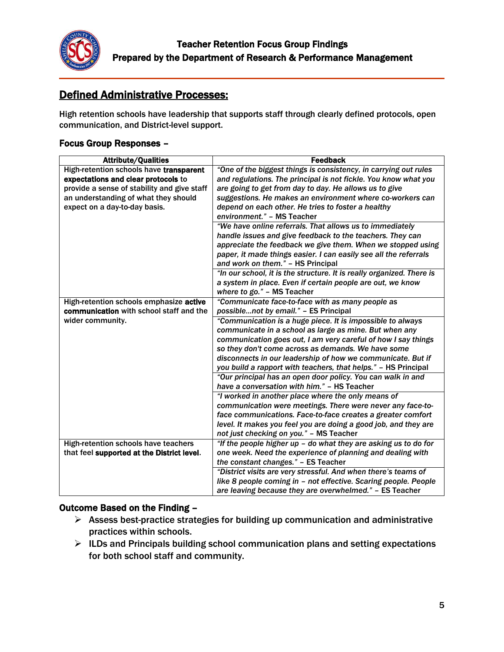

# Defined Administrative Processes:

High retention schools have leadership that supports staff through clearly defined protocols, open communication, and District-level support.

## Focus Group Responses –

| <b>Attribute/Qualities</b>                  | <b>Feedback</b>                                                                                                  |  |
|---------------------------------------------|------------------------------------------------------------------------------------------------------------------|--|
| High-retention schools have transparent     | "One of the biggest things is consistency, in carrying out rules                                                 |  |
| expectations and clear protocols to         | and regulations. The principal is not fickle. You know what you                                                  |  |
| provide a sense of stability and give staff | are going to get from day to day. He allows us to give                                                           |  |
| an understanding of what they should        | suggestions. He makes an environment where co-workers can                                                        |  |
| expect on a day-to-day basis.               | depend on each other. He tries to foster a healthy                                                               |  |
|                                             | environment." - MS Teacher                                                                                       |  |
|                                             | "We have online referrals. That allows us to immediately                                                         |  |
|                                             | handle issues and give feedback to the teachers. They can                                                        |  |
|                                             | appreciate the feedback we give them. When we stopped using                                                      |  |
|                                             | paper, it made things easier. I can easily see all the referrals                                                 |  |
|                                             | and work on them." - HS Principal                                                                                |  |
|                                             | "In our school, it is the structure. It is really organized. There is                                            |  |
|                                             | a system in place. Even if certain people are out, we know                                                       |  |
|                                             | where to go." - MS Teacher                                                                                       |  |
| High-retention schools emphasize active     | "Communicate face-to-face with as many people as                                                                 |  |
| communication with school staff and the     | possiblenot by email." - ES Principal                                                                            |  |
| wider community.                            | "Communication is a huge piece. It is impossible to always                                                       |  |
|                                             | communicate in a school as large as mine. But when any                                                           |  |
|                                             | communication goes out, I am very careful of how I say things                                                    |  |
|                                             | so they don't come across as demands. We have some                                                               |  |
|                                             | disconnects in our leadership of how we communicate. But if                                                      |  |
|                                             | you build a rapport with teachers, that helps." - HS Principal                                                   |  |
|                                             | "Our principal has an open door policy. You can walk in and                                                      |  |
|                                             | have a conversation with him." - HS Teacher                                                                      |  |
|                                             | "I worked in another place where the only means of<br>communication were meetings. There were never any face-to- |  |
|                                             | face communications. Face-to-face creates a greater comfort                                                      |  |
|                                             | level. It makes you feel you are doing a good job, and they are                                                  |  |
|                                             | not just checking on you." - MS Teacher                                                                          |  |
| High-retention schools have teachers        | "If the people higher up - do what they are asking us to do for                                                  |  |
| that feel supported at the District level.  | one week. Need the experience of planning and dealing with                                                       |  |
|                                             | the constant changes." - ES Teacher                                                                              |  |
|                                             | "District visits are very stressful. And when there's teams of                                                   |  |
|                                             | like 8 people coming in - not effective. Scaring people. People                                                  |  |
|                                             | are leaving because they are overwhelmed." - ES Teacher                                                          |  |

- $\triangleright$  Assess best-practice strategies for building up communication and administrative practices within schools.
- $\triangleright$  ILDs and Principals building school communication plans and setting expectations for both school staff and community.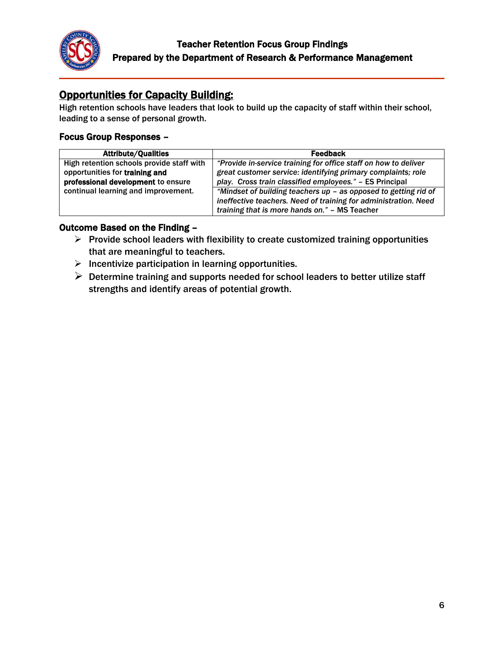

# **Opportunities for Capacity Building:**

High retention schools have leaders that look to build up the capacity of staff within their school, leading to a sense of personal growth.

# Focus Group Responses –

| <b>Attribute/Qualities</b>                | <b>Feedback</b>                                                 |
|-------------------------------------------|-----------------------------------------------------------------|
| High retention schools provide staff with | "Provide in-service training for office staff on how to deliver |
| opportunities for training and            | great customer service: identifying primary complaints; role    |
| professional development to ensure        | play. Cross train classified employees." - ES Principal         |
| continual learning and improvement.       | "Mindset of building teachers up - as opposed to getting rid of |
|                                           | ineffective teachers. Need of training for administration. Need |
|                                           | training that is more hands on." - MS Teacher                   |

- $\triangleright$  Provide school leaders with flexibility to create customized training opportunities that are meaningful to teachers.
- $\triangleright$  Incentivize participation in learning opportunities.
- $\triangleright$  Determine training and supports needed for school leaders to better utilize staff strengths and identify areas of potential growth.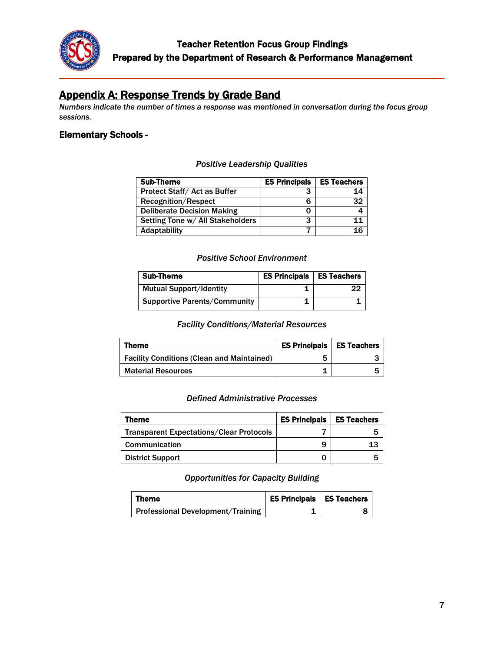

# Appendix A: Response Trends by Grade Band

*Numbers indicate the number of times a response was mentioned in conversation during the focus group sessions.*

## Elementary Schools -

#### *Positive Leadership Qualities*

| <b>Sub-Theme</b>                  | <b>ES Principals</b> | <b>ES Teachers</b> |
|-----------------------------------|----------------------|--------------------|
| Protect Staff/Act as Buffer       |                      | 14                 |
| <b>Recognition/Respect</b>        |                      | 32                 |
| <b>Deliberate Decision Making</b> |                      |                    |
| Setting Tone w/ All Stakeholders  | з                    | 11                 |
| Adaptability                      |                      | 16                 |

#### *Positive School Environment*

| Sub-Theme                           | <b>ES Principals   ES Teachers</b> |    |
|-------------------------------------|------------------------------------|----|
| <b>Mutual Support/Identity</b>      |                                    | 22 |
| <b>Supportive Parents/Community</b> |                                    |    |

#### *Facility Conditions/Material Resources*

| Theme                                             | <b>ES Principals</b> | <b>I</b> ES Teachers |
|---------------------------------------------------|----------------------|----------------------|
| <b>Facility Conditions (Clean and Maintained)</b> | 5                    |                      |
| <b>Material Resources</b>                         |                      |                      |

#### *Defined Administrative Processes*

| Theme                                           | <b>ES Principals</b> | <b>ES Teachers</b> |
|-------------------------------------------------|----------------------|--------------------|
| <b>Transparent Expectations/Clear Protocols</b> |                      |                    |
| <b>Communication</b>                            | 9                    | 13                 |
| <b>District Support</b>                         |                      |                    |

*Opportunities for Capacity Building*

| Theme                             | <b>ES Principals   ES Teachers</b> |  |
|-----------------------------------|------------------------------------|--|
| Professional Development/Training |                                    |  |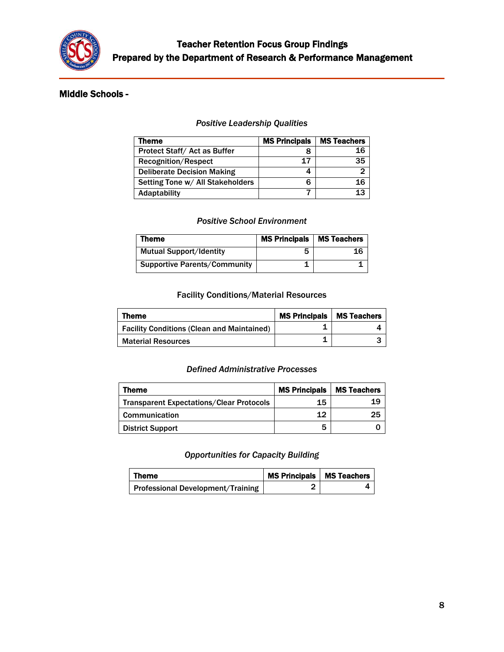

## Middle Schools -

#### *Positive Leadership Qualities*

| Theme                             | <b>MS Principals</b> | <b>MS Teachers</b> |
|-----------------------------------|----------------------|--------------------|
| Protect Staff/Act as Buffer       |                      | 16                 |
| <b>Recognition/Respect</b>        | 17                   | 35                 |
| <b>Deliberate Decision Making</b> |                      |                    |
| Setting Tone w/ All Stakeholders  |                      | 16                 |
| Adaptability                      |                      | 13                 |

#### *Positive School Environment*

| Theme                               | <b>MS Principals</b> | <b>MS Teachers</b> |
|-------------------------------------|----------------------|--------------------|
| <b>Mutual Support/Identity</b>      |                      | 16                 |
| <b>Supportive Parents/Community</b> |                      |                    |

### Facility Conditions/Material Resources

| Theme                                             | <b>MS Principals</b> | <b>MS Teachers</b> |
|---------------------------------------------------|----------------------|--------------------|
| <b>Facility Conditions (Clean and Maintained)</b> |                      |                    |
| <b>Material Resources</b>                         |                      |                    |

#### *Defined Administrative Processes*

| Theme                                           | <b>MS Principals</b> | <b>MS Teachers</b> |
|-------------------------------------------------|----------------------|--------------------|
| <b>Transparent Expectations/Clear Protocols</b> | 15                   | 19                 |
| Communication                                   | 12                   | 25                 |
| <b>District Support</b>                         | 5                    |                    |

#### *Opportunities for Capacity Building*

| Theme                             | MS Principals   MS Teachers |  |
|-----------------------------------|-----------------------------|--|
| Professional Development/Training |                             |  |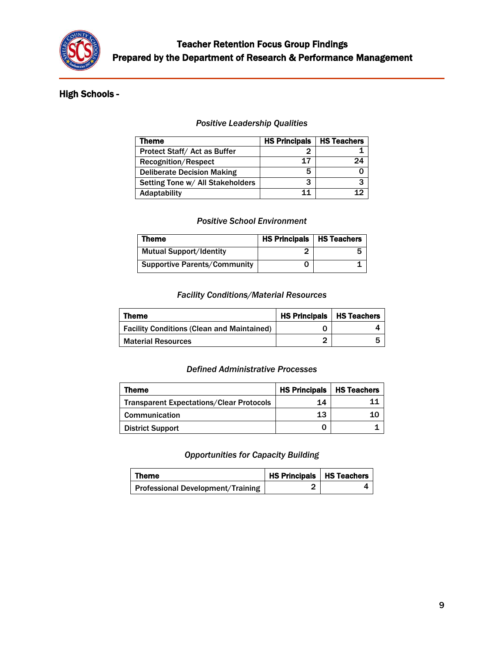

## High Schools -

#### *Positive Leadership Qualities*

| Theme                             | <b>HS Principals</b> | <b>HS Teachers</b> |
|-----------------------------------|----------------------|--------------------|
| Protect Staff/Act as Buffer       |                      |                    |
| <b>Recognition/Respect</b>        | 17                   | 9Δ.                |
| <b>Deliberate Decision Making</b> | 5                    |                    |
| Setting Tone w/ All Stakeholders  | 3                    | ?                  |
| Adaptability                      | 11                   |                    |

#### *Positive School Environment*

| Theme                               | <b>HS Principals   HS Teachers</b> |  |
|-------------------------------------|------------------------------------|--|
| <b>Mutual Support/Identity</b>      |                                    |  |
| <b>Supportive Parents/Community</b> |                                    |  |

### *Facility Conditions/Material Resources*

| Theme                                             | <b>HS Principals   HS Teachers</b> |  |
|---------------------------------------------------|------------------------------------|--|
| <b>Facility Conditions (Clean and Maintained)</b> |                                    |  |
| <b>Material Resources</b>                         |                                    |  |

#### *Defined Administrative Processes*

| Theme                                           | <b>HS Principals   HS Teachers</b> |    |
|-------------------------------------------------|------------------------------------|----|
| <b>Transparent Expectations/Clear Protocols</b> | 14                                 |    |
| <b>Communication</b>                            | 13                                 | 10 |
| <b>District Support</b>                         |                                    |    |

#### *Opportunities for Capacity Building*

| Theme                             | <b>HS Principals   HS Teachers</b> |  |
|-----------------------------------|------------------------------------|--|
| Professional Development/Training |                                    |  |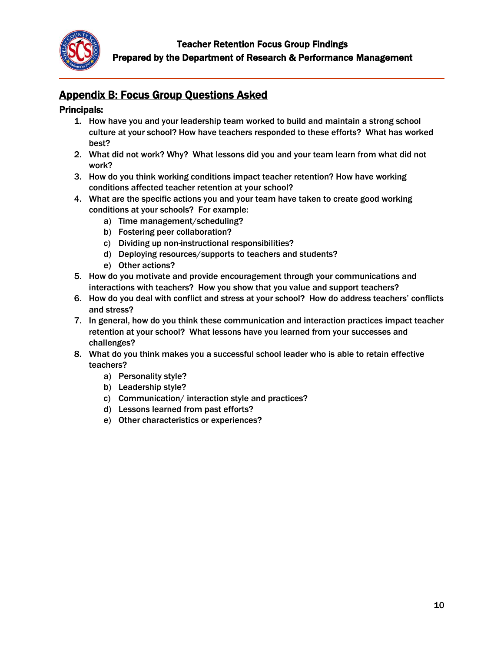

# Appendix B: Focus Group Questions Asked

## Principals:

- 1. How have you and your leadership team worked to build and maintain a strong school culture at your school? How have teachers responded to these efforts? What has worked best?
- 2. What did not work? Why? What lessons did you and your team learn from what did not work?
- 3. How do you think working conditions impact teacher retention? How have working conditions affected teacher retention at your school?
- 4. What are the specific actions you and your team have taken to create good working conditions at your schools? For example:
	- a) Time management/scheduling?
	- b) Fostering peer collaboration?
	- c) Dividing up non-instructional responsibilities?
	- d) Deploying resources/supports to teachers and students?
	- e) Other actions?
- 5. How do you motivate and provide encouragement through your communications and interactions with teachers? How you show that you value and support teachers?
- 6. How do you deal with conflict and stress at your school? How do address teachers' conflicts and stress?
- 7. In general, how do you think these communication and interaction practices impact teacher retention at your school? What lessons have you learned from your successes and challenges?
- 8. What do you think makes you a successful school leader who is able to retain effective teachers?
	- a) Personality style?
	- b) Leadership style?
	- c) Communication/ interaction style and practices?
	- d) Lessons learned from past efforts?
	- e) Other characteristics or experiences?